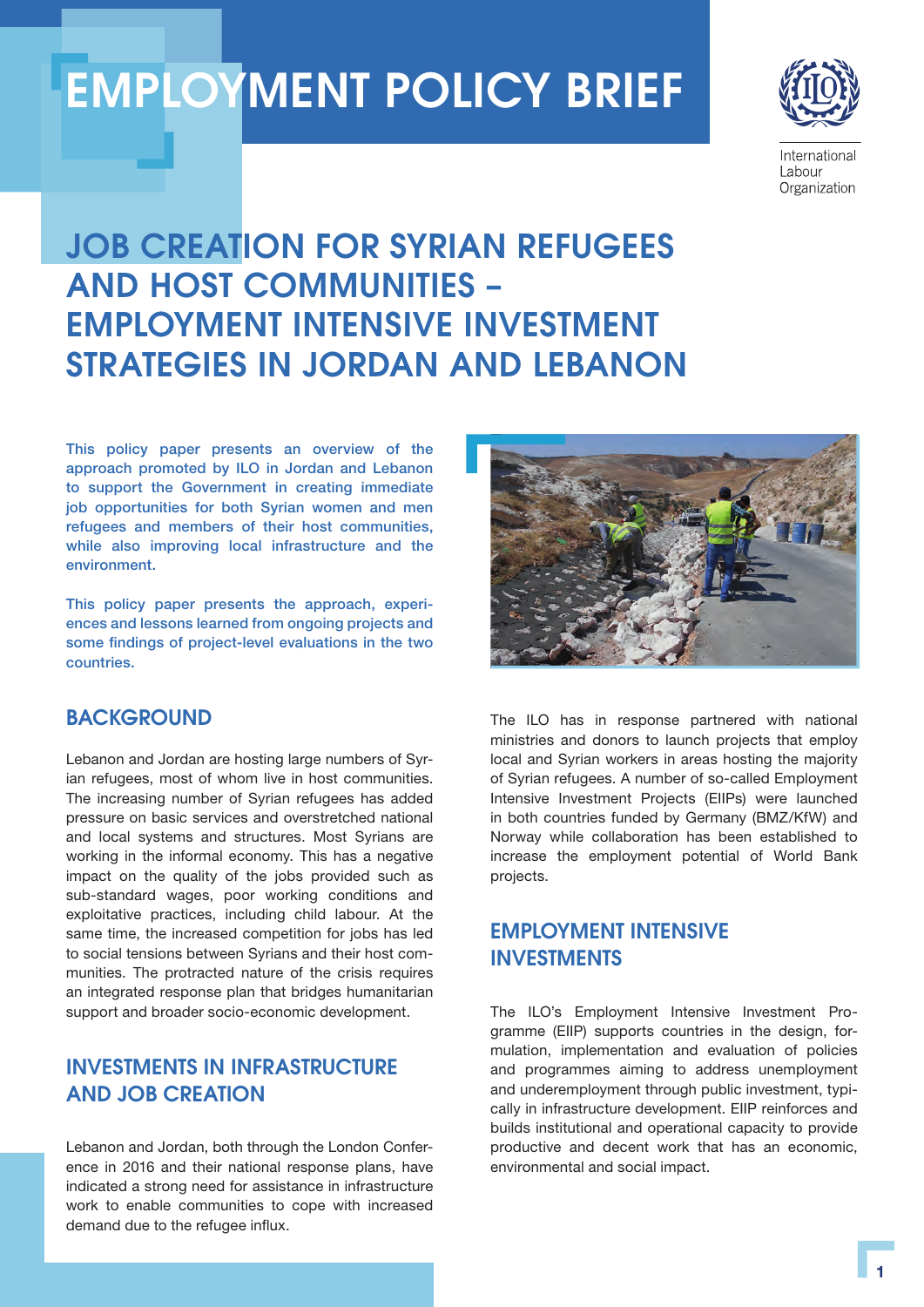# EMPLOYMENT POLICY BRIEF



International Labour Organization

## JOB CREATION FOR SYRIAN REFUGEES AND HOST COMMUNITIES – EMPLOYMENT INTENSIVE INVESTMENT STRATEGIES IN JORDAN AND LEBANON

This policy paper presents an overview of the approach promoted by ILO in Jordan and Lebanon to support the Government in creating immediate job opportunities for both Syrian women and men refugees and members of their host communities, while also improving local infrastructure and the environment.

This policy paper presents the approach, experiences and lessons learned from ongoing projects and some findings of project-level evaluations in the two countries.

## **BACKGROUND**

Lebanon and Jordan are hosting large numbers of Syrian refugees, most of whom live in host communities. The increasing number of Syrian refugees has added pressure on basic services and overstretched national and local systems and structures. Most Syrians are working in the informal economy. This has a negative impact on the quality of the jobs provided such as sub-standard wages, poor working conditions and exploitative practices, including child labour. At the same time, the increased competition for jobs has led to social tensions between Syrians and their host communities. The protracted nature of the crisis requires an integrated response plan that bridges humanitarian support and broader socio-economic development.

## INVESTMENTS IN INFRASTRUCTURE AND JOB CREATION

Lebanon and Jordan, both through the London Conference in 2016 and their national response plans, have indicated a strong need for assistance in infrastructure work to enable communities to cope with increased demand due to the refugee influx.



The ILO has in response partnered with national ministries and donors to launch projects that employ local and Syrian workers in areas hosting the majority of Syrian refugees. A number of so-called Employment Intensive Investment Projects (EIIPs) were launched in both countries funded by Germany (BMZ/KfW) and Norway while collaboration has been established to increase the employment potential of World Bank projects.

## EMPLOYMENT INTENSIVE INVESTMENTS

The ILO's Employment Intensive Investment Programme (EIIP) supports countries in the design, formulation, implementation and evaluation of policies and programmes aiming to address unemployment and underemployment through public investment, typically in infrastructure development. EIIP reinforces and builds institutional and operational capacity to provide productive and decent work that has an economic, environmental and social impact.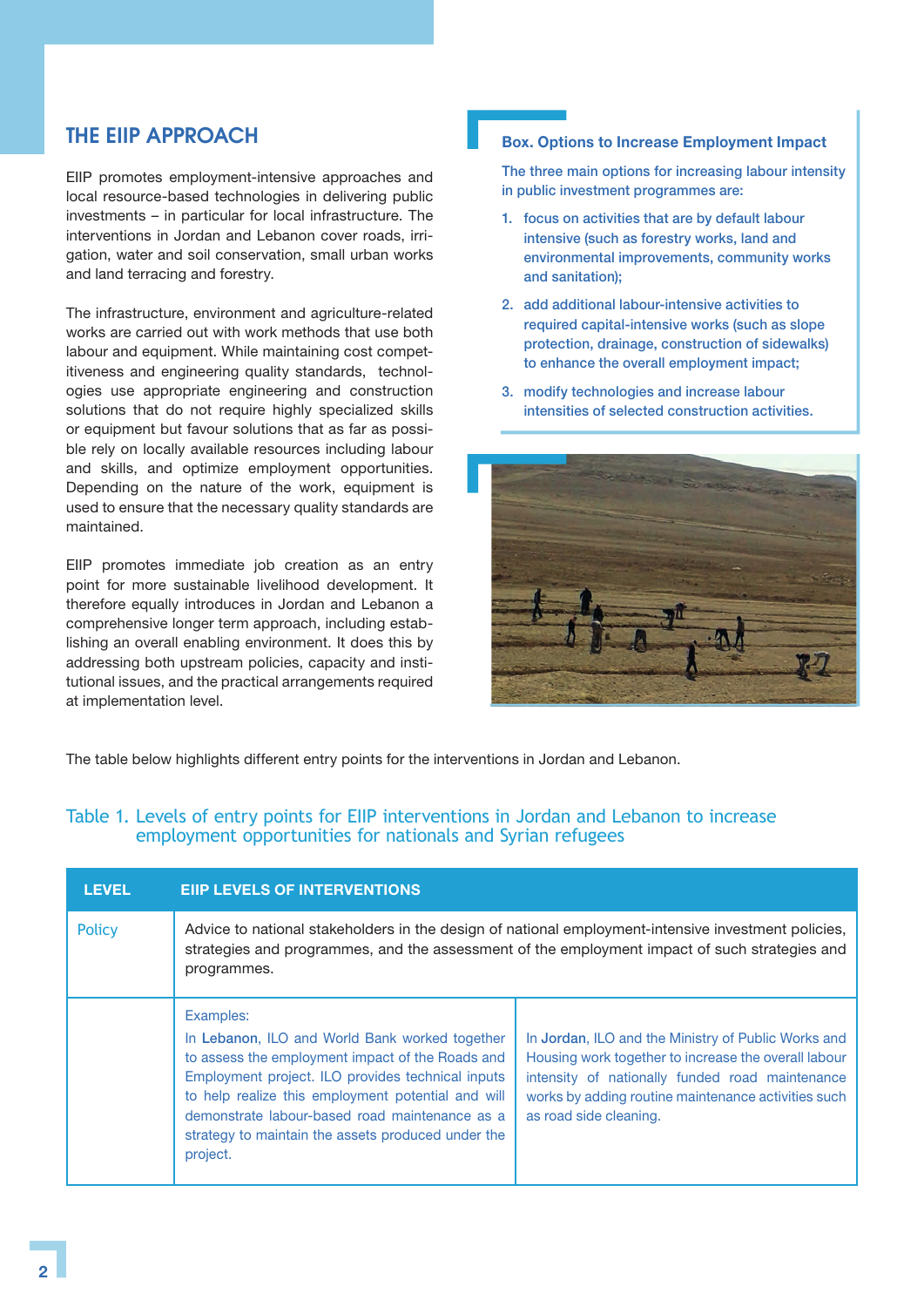## THE EIIP APPROACH

EIIP promotes employment-intensive approaches and local resource-based technologies in delivering public investments – in particular for local infrastructure. The interventions in Jordan and Lebanon cover roads, irrigation, water and soil conservation, small urban works and land terracing and forestry.

The infrastructure, environment and agriculture-related works are carried out with work methods that use both labour and equipment. While maintaining cost competitiveness and engineering quality standards, technologies use appropriate engineering and construction solutions that do not require highly specialized skills or equipment but favour solutions that as far as possible rely on locally available resources including labour and skills, and optimize employment opportunities. Depending on the nature of the work, equipment is used to ensure that the necessary quality standards are maintained.

EIIP promotes immediate job creation as an entry point for more sustainable livelihood development. It therefore equally introduces in Jordan and Lebanon a comprehensive longer term approach, including establishing an overall enabling environment. It does this by addressing both upstream policies, capacity and institutional issues, and the practical arrangements required at implementation level.

#### Box. Options to Increase Employment Impact

The three main options for increasing labour intensity in public investment programmes are:

- 1. focus on activities that are by default labour intensive (such as forestry works, land and environmental improvements, community works and sanitation);
- 2. add additional labour-intensive activities to required capital-intensive works (such as slope protection, drainage, construction of sidewalks) to enhance the overall employment impact;
- 3. modify technologies and increase labour intensities of selected construction activities.



The table below highlights different entry points for the interventions in Jordan and Lebanon.

### Table 1. Levels of entry points for EIIP interventions in Jordan and Lebanon to increase employment opportunities for nationals and Syrian refugees

| <b>LEVEL</b>  | <b>EIIP LEVELS OF INTERVENTIONS</b>                                                                                                                                                                                                                                                                                                            |                                                                                                                                                                                                                                                 |
|---------------|------------------------------------------------------------------------------------------------------------------------------------------------------------------------------------------------------------------------------------------------------------------------------------------------------------------------------------------------|-------------------------------------------------------------------------------------------------------------------------------------------------------------------------------------------------------------------------------------------------|
| <b>Policy</b> | Advice to national stakeholders in the design of national employment-intensive investment policies,<br>strategies and programmes, and the assessment of the employment impact of such strategies and<br>programmes.                                                                                                                            |                                                                                                                                                                                                                                                 |
|               | Examples:<br>In Lebanon, ILO and World Bank worked together<br>to assess the employment impact of the Roads and<br>Employment project. ILO provides technical inputs<br>to help realize this employment potential and will<br>demonstrate labour-based road maintenance as a<br>strategy to maintain the assets produced under the<br>project. | In Jordan, ILO and the Ministry of Public Works and<br>Housing work together to increase the overall labour<br>intensity of nationally funded road maintenance<br>works by adding routine maintenance activities such<br>as road side cleaning. |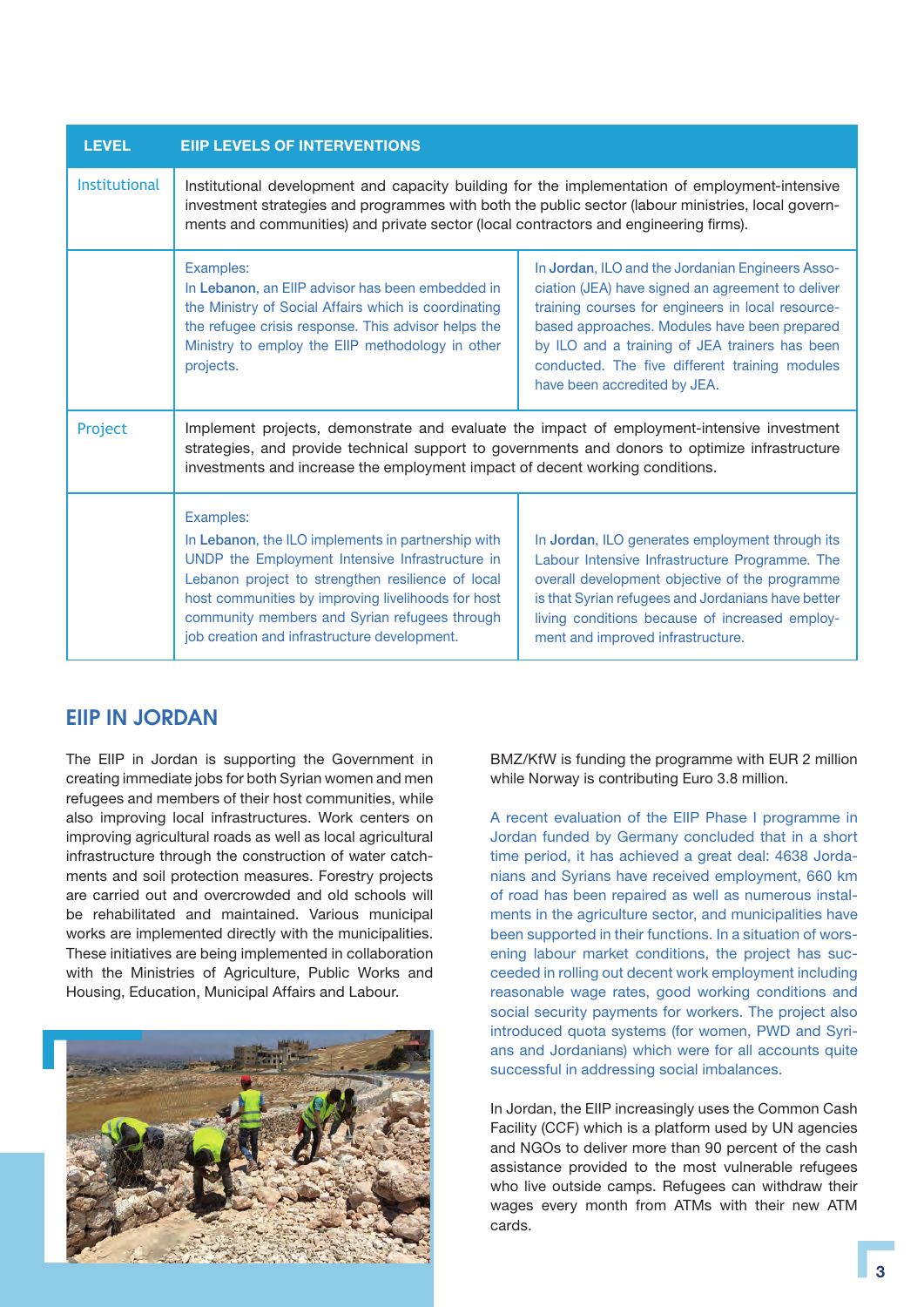| <b>LEVEL</b>  | <b>EIIP LEVELS OF INTERVENTIONS</b>                                                                                                                                                                                                                                                                                            |                                                                                                                                                                                                                                                                                                                                                |
|---------------|--------------------------------------------------------------------------------------------------------------------------------------------------------------------------------------------------------------------------------------------------------------------------------------------------------------------------------|------------------------------------------------------------------------------------------------------------------------------------------------------------------------------------------------------------------------------------------------------------------------------------------------------------------------------------------------|
| Institutional | Institutional development and capacity building for the implementation of employment-intensive<br>investment strategies and programmes with both the public sector (labour ministries, local govern-<br>ments and communities) and private sector (local contractors and engineering firms).                                   |                                                                                                                                                                                                                                                                                                                                                |
|               | Examples:<br>In Lebanon, an EIIP advisor has been embedded in<br>the Ministry of Social Affairs which is coordinating<br>the refugee crisis response. This advisor helps the<br>Ministry to employ the EIIP methodology in other<br>projects.                                                                                  | In Jordan, ILO and the Jordanian Engineers Asso-<br>ciation (JEA) have signed an agreement to deliver<br>training courses for engineers in local resource-<br>based approaches. Modules have been prepared<br>by ILO and a training of JEA trainers has been<br>conducted. The five different training modules<br>have been accredited by JEA. |
| Project       | Implement projects, demonstrate and evaluate the impact of employment-intensive investment<br>strategies, and provide technical support to governments and donors to optimize infrastructure<br>investments and increase the employment impact of decent working conditions.                                                   |                                                                                                                                                                                                                                                                                                                                                |
|               | Examples:<br>In Lebanon, the ILO implements in partnership with<br>UNDP the Employment Intensive Infrastructure in<br>Lebanon project to strengthen resilience of local<br>host communities by improving livelihoods for host<br>community members and Syrian refugees through<br>job creation and infrastructure development. | In Jordan, ILO generates employment through its<br>Labour Intensive Infrastructure Programme. The<br>overall development objective of the programme<br>is that Syrian refugees and Jordanians have better<br>living conditions because of increased employ-<br>ment and improved infrastructure.                                               |

## EIIP IN JORDAN

The EIIP in Jordan is supporting the Government in creating immediate jobs for both Syrian women and men refugees and members of their host communities, while also improving local infrastructures. Work centers on improving agricultural roads as well as local agricultural infrastructure through the construction of water catchments and soil protection measures. Forestry projects are carried out and overcrowded and old schools will be rehabilitated and maintained. Various municipal works are implemented directly with the municipalities. These initiatives are being implemented in collaboration with the Ministries of Agriculture, Public Works and Housing, Education, Municipal Affairs and Labour.



BMZ/KfW is funding the programme with EUR 2 million while Norway is contributing Euro 3.8 million.

A recent evaluation of the EIIP Phase I programme in Jordan funded by Germany concluded that in a short time period, it has achieved a great deal: 4638 Jordanians and Syrians have received employment, 660 km of road has been repaired as well as numerous instalments in the agriculture sector, and municipalities have been supported in their functions. In a situation of worsening labour market conditions, the project has succeeded in rolling out decent work employment including reasonable wage rates, good working conditions and social security payments for workers. The project also introduced quota systems (for women, PWD and Syrians and Jordanians) which were for all accounts quite successful in addressing social imbalances.

In Jordan, the EIIP increasingly uses the Common Cash Facility (CCF) which is a platform used by UN agencies and NGOs to deliver more than 90 percent of the cash assistance provided to the most vulnerable refugees who live outside camps. Refugees can withdraw their wages every month from ATMs with their new ATM cards.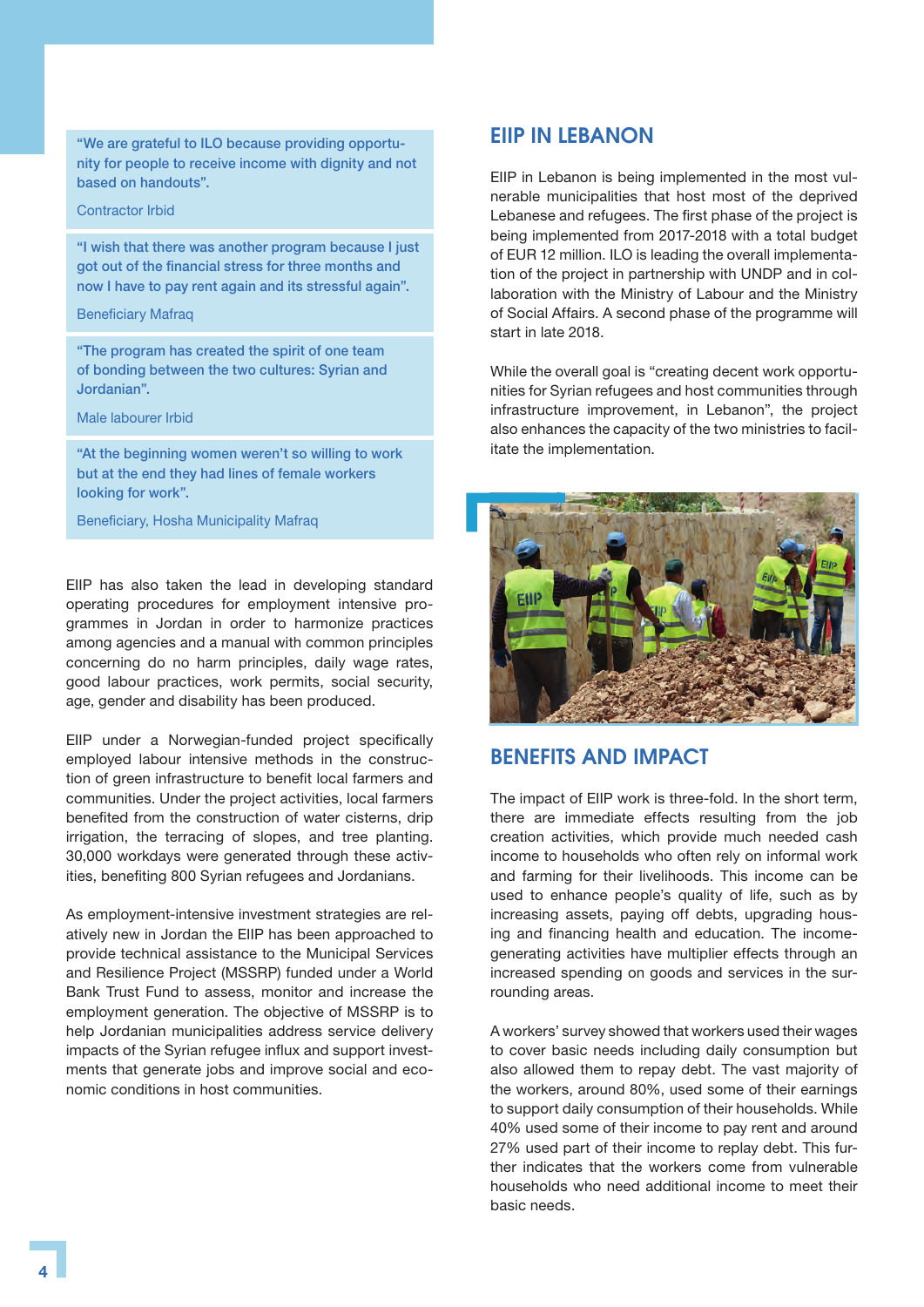"We are grateful to ILO because providing opportunity for people to receive income with dignity and not based on handouts".

#### Contractor Irbid

"I wish that there was another program because I just got out of the financial stress for three months and now I have to pay rent again and its stressful again".

#### Beneficiary Mafraq

"The program has created the spirit of one team of bonding between the two cultures: Syrian and Jordanian".

Male labourer Irbid

"At the beginning women weren't so willing to work but at the end they had lines of female workers looking for work".

Beneficiary, Hosha Municipality Mafraq

EIIP has also taken the lead in developing standard operating procedures for employment intensive programmes in Jordan in order to harmonize practices among agencies and a manual with common principles concerning do no harm principles, daily wage rates, good labour practices, work permits, social security, age, gender and disability has been produced.

EIIP under a Norwegian-funded project specifically employed labour intensive methods in the construction of green infrastructure to benefit local farmers and communities. Under the project activities, local farmers benefited from the construction of water cisterns, drip irrigation, the terracing of slopes, and tree planting. 30,000 workdays were generated through these activities, benefiting 800 Syrian refugees and Jordanians.

As employment-intensive investment strategies are relatively new in Jordan the EIIP has been approached to provide technical assistance to the Municipal Services and Resilience Project (MSSRP) funded under a World Bank Trust Fund to assess, monitor and increase the employment generation. The objective of MSSRP is to help Jordanian municipalities address service delivery impacts of the Syrian refugee influx and support investments that generate jobs and improve social and economic conditions in host communities.

## EIIP IN LEBANON

EIIP in Lebanon is being implemented in the most vulnerable municipalities that host most of the deprived Lebanese and refugees. The first phase of the project is being implemented from 2017-2018 with a total budget of EUR 12 million. ILO is leading the overall implementation of the project in partnership with UNDP and in collaboration with the Ministry of Labour and the Ministry of Social Affairs. A second phase of the programme will start in late 2018.

While the overall goal is "creating decent work opportunities for Syrian refugees and host communities through infrastructure improvement, in Lebanon", the project also enhances the capacity of the two ministries to facilitate the implementation.



## BENEFITS AND IMPACT

The impact of EIIP work is three-fold. In the short term, there are immediate effects resulting from the job creation activities, which provide much needed cash income to households who often rely on informal work and farming for their livelihoods. This income can be used to enhance people's quality of life, such as by increasing assets, paying off debts, upgrading housing and financing health and education. The incomegenerating activities have multiplier effects through an increased spending on goods and services in the surrounding areas.

A workers' survey showed that workers used their wages to cover basic needs including daily consumption but also allowed them to repay debt. The vast majority of the workers, around 80%, used some of their earnings to support daily consumption of their households. While 40% used some of their income to pay rent and around 27% used part of their income to replay debt. This further indicates that the workers come from vulnerable households who need additional income to meet their basic needs.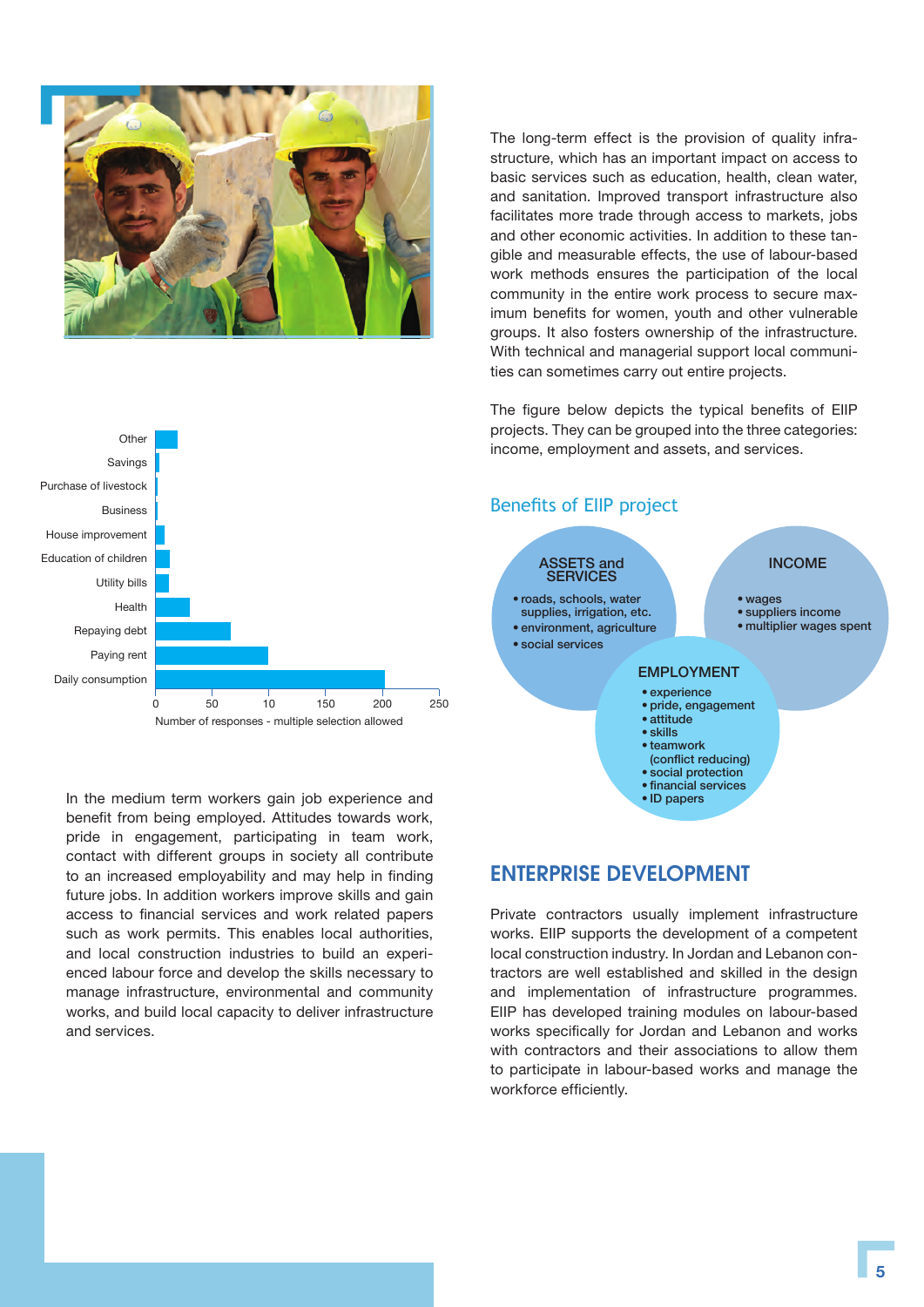

The long-term effect is the provision of quality infrastructure, which has an important impact on access to basic services such as education, health, clean water, and sanitation. Improved transport infrastructure also facilitates more trade through access to markets, jobs and other economic activities. In addition to these tangible and measurable effects, the use of labour-based work methods ensures the participation of the local community in the entire work process to secure maximum benefits for women, youth and other vulnerable groups. It also fosters ownership of the infrastructure. With technical and managerial support local communities can sometimes carry out entire projects.

The figure below depicts the typical benefits of EIIP projects. They can be grouped into the three categories: income, employment and assets, and services.



In the medium term workers gain job experience and benefit from being employed. Attitudes towards work, pride in engagement, participating in team work, contact with different groups in society all contribute to an increased employability and may help in finding future jobs. In addition workers improve skills and gain access to financial services and work related papers such as work permits. This enables local authorities, and local construction industries to build an experienced labour force and develop the skills necessary to manage infrastructure, environmental and community works, and build local capacity to deliver infrastructure and services.



## ENTERPRISE DEVELOPMENT

Private contractors usually implement infrastructure works. EIIP supports the development of a competent local construction industry. In Jordan and Lebanon contractors are well established and skilled in the design and implementation of infrastructure programmes. EIIP has developed training modules on labour-based works specifically for Jordan and Lebanon and works with contractors and their associations to allow them to participate in labour-based works and manage the workforce efficiently.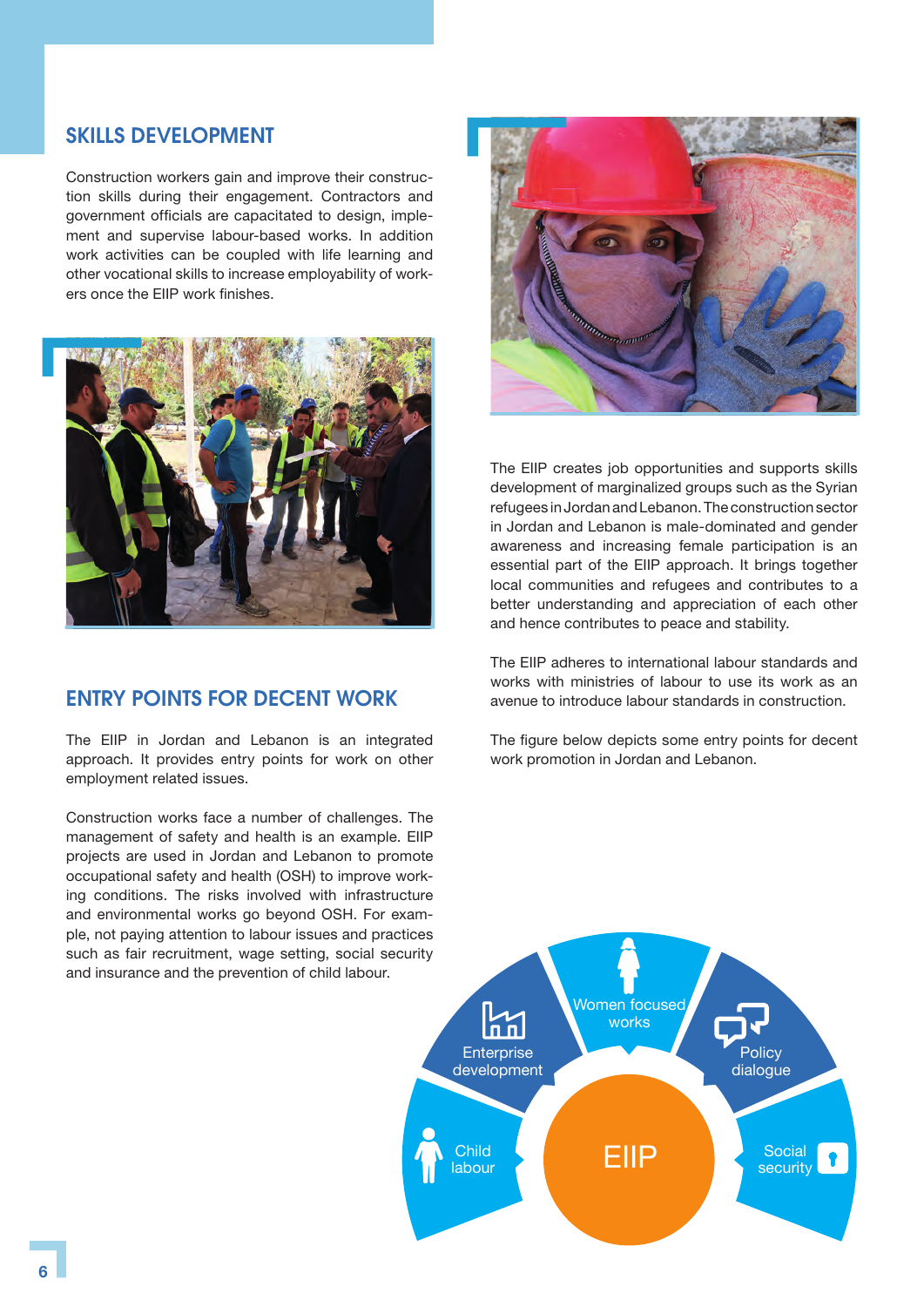## SKILLS DEVELOPMENT

Construction workers gain and improve their construction skills during their engagement. Contractors and government officials are capacitated to design, implement and supervise labour-based works. In addition work activities can be coupled with life learning and other vocational skills to increase employability of workers once the EIIP work finishes.



## ENTRY POINTS FOR DECENT WORK

The EIIP in Jordan and Lebanon is an integrated approach. It provides entry points for work on other employment related issues.

Construction works face a number of challenges. The management of safety and health is an example. EIIP projects are used in Jordan and Lebanon to promote occupational safety and health (OSH) to improve working conditions. The risks involved with infrastructure and environmental works go beyond OSH. For example, not paying attention to labour issues and practices such as fair recruitment, wage setting, social security and insurance and the prevention of child labour.



The EIIP creates job opportunities and supports skills development of marginalized groups such as the Syrian refugees in Jordan and Lebanon. The construction sector in Jordan and Lebanon is male-dominated and gender awareness and increasing female participation is an essential part of the EIIP approach. It brings together local communities and refugees and contributes to a better understanding and appreciation of each other and hence contributes to peace and stability.

The EIIP adheres to international labour standards and works with ministries of labour to use its work as an avenue to introduce labour standards in construction.

The figure below depicts some entry points for decent work promotion in Jordan and Lebanon.

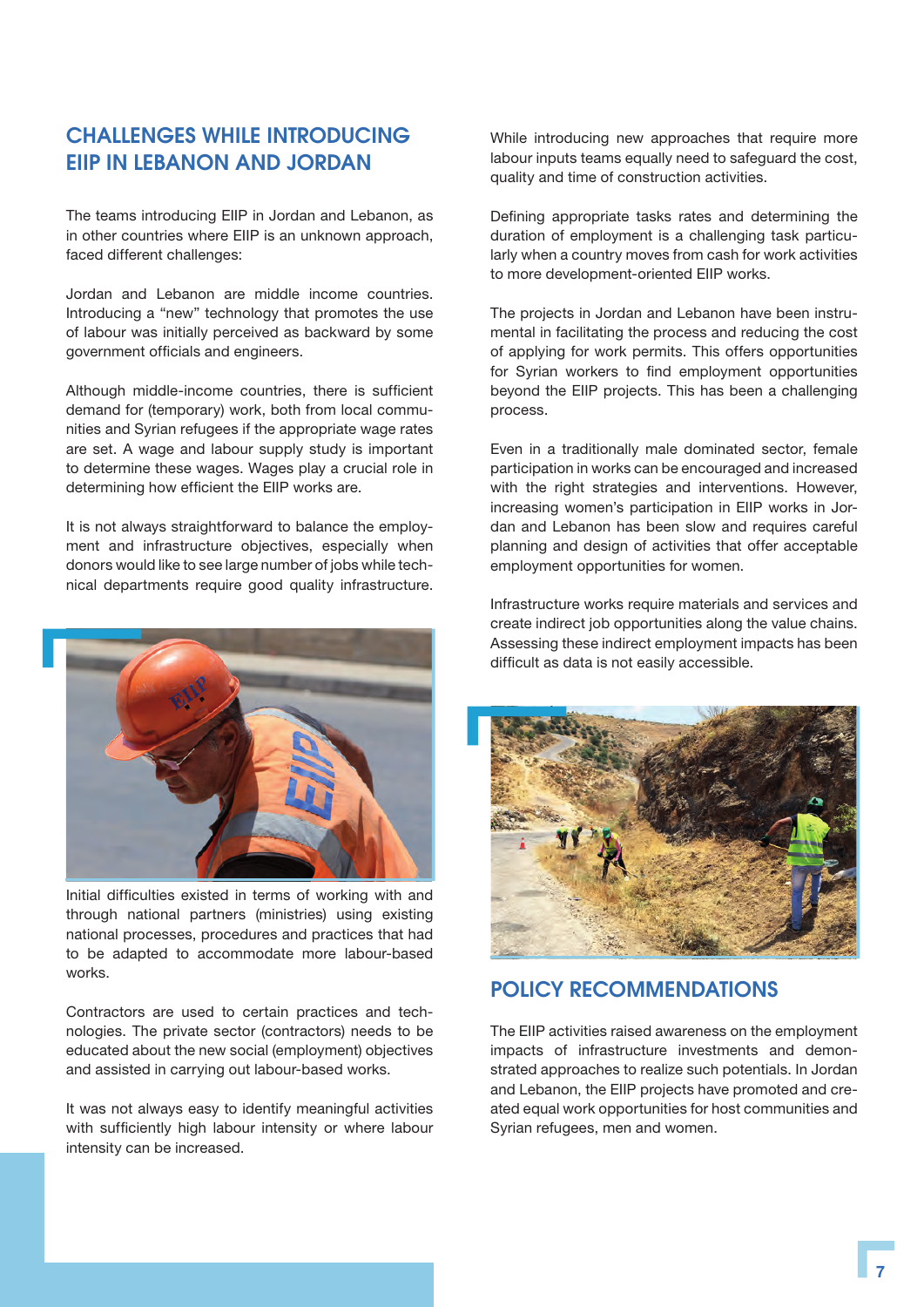## CHALLENGES WHILE INTRODUCING EIIP IN LEBANON AND JORDAN

The teams introducing EIIP in Jordan and Lebanon, as in other countries where EIIP is an unknown approach, faced different challenges:

Jordan and Lebanon are middle income countries. Introducing a "new" technology that promotes the use of labour was initially perceived as backward by some government officials and engineers.

Although middle-income countries, there is sufficient demand for (temporary) work, both from local communities and Syrian refugees if the appropriate wage rates are set. A wage and labour supply study is important to determine these wages. Wages play a crucial role in determining how efficient the EIIP works are.

It is not always straightforward to balance the employment and infrastructure objectives, especially when donors would like to see large number of jobs while technical departments require good quality infrastructure.



Initial difficulties existed in terms of working with and through national partners (ministries) using existing national processes, procedures and practices that had to be adapted to accommodate more labour-based works.

Contractors are used to certain practices and technologies. The private sector (contractors) needs to be educated about the new social (employment) objectives and assisted in carrying out labour-based works.

It was not always easy to identify meaningful activities with sufficiently high labour intensity or where labour intensity can be increased.

While introducing new approaches that require more labour inputs teams equally need to safeguard the cost, quality and time of construction activities.

Defining appropriate tasks rates and determining the duration of employment is a challenging task particularly when a country moves from cash for work activities to more development-oriented EIIP works.

The projects in Jordan and Lebanon have been instrumental in facilitating the process and reducing the cost of applying for work permits. This offers opportunities for Syrian workers to find employment opportunities beyond the EIIP projects. This has been a challenging process.

Even in a traditionally male dominated sector, female participation in works can be encouraged and increased with the right strategies and interventions. However, increasing women's participation in EIIP works in Jordan and Lebanon has been slow and requires careful planning and design of activities that offer acceptable employment opportunities for women.

Infrastructure works require materials and services and create indirect job opportunities along the value chains. Assessing these indirect employment impacts has been difficult as data is not easily accessible.



## POLICY RECOMMENDATIONS

The EIIP activities raised awareness on the employment impacts of infrastructure investments and demonstrated approaches to realize such potentials. In Jordan and Lebanon, the EIIP projects have promoted and created equal work opportunities for host communities and Syrian refugees, men and women.